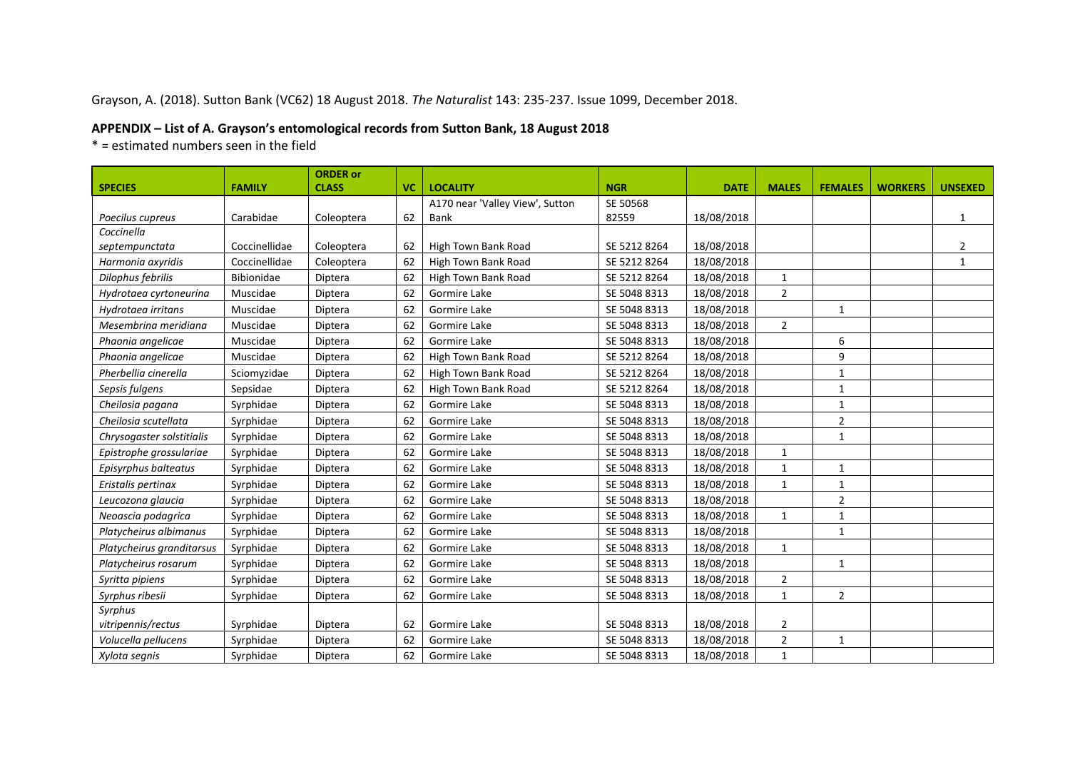## Grayson, A. (2018). Sutton Bank (VC62) 18 August 2018. *The Naturalist* 143: 235-237. Issue 1099, December 2018.

## **APPENDIX – List of A. Grayson's entomological records from Sutton Bank, 18 August 2018**

\* = estimated numbers seen in the field

|                           |               | <b>ORDER or</b> |           |                                 |              |             |                |                |                |                |
|---------------------------|---------------|-----------------|-----------|---------------------------------|--------------|-------------|----------------|----------------|----------------|----------------|
| <b>SPECIES</b>            | <b>FAMILY</b> | <b>CLASS</b>    | <b>VC</b> | <b>LOCALITY</b>                 | <b>NGR</b>   | <b>DATE</b> | <b>MALES</b>   | <b>FEMALES</b> | <b>WORKERS</b> | <b>UNSEXED</b> |
|                           |               |                 |           | A170 near 'Valley View', Sutton | SE 50568     |             |                |                |                |                |
| Poecilus cupreus          | Carabidae     | Coleoptera      | 62        | Bank                            | 82559        | 18/08/2018  |                |                |                | 1              |
| Coccinella                |               |                 |           |                                 |              |             |                |                |                |                |
| septempunctata            | Coccinellidae | Coleoptera      | 62        | High Town Bank Road             | SE 5212 8264 | 18/08/2018  |                |                |                | $\overline{2}$ |
| Harmonia axyridis         | Coccinellidae | Coleoptera      | 62        | High Town Bank Road             | SE 5212 8264 | 18/08/2018  |                |                |                | $\mathbf{1}$   |
| Dilophus febrilis         | Bibionidae    | Diptera         | 62        | High Town Bank Road             | SE 5212 8264 | 18/08/2018  | $\mathbf{1}$   |                |                |                |
| Hydrotaea cyrtoneurina    | Muscidae      | Diptera         | 62        | Gormire Lake                    | SE 5048 8313 | 18/08/2018  | $\overline{2}$ |                |                |                |
| Hydrotaea irritans        | Muscidae      | Diptera         | 62        | Gormire Lake                    | SE 5048 8313 | 18/08/2018  |                | $\mathbf{1}$   |                |                |
| Mesembrina meridiana      | Muscidae      | Diptera         | 62        | Gormire Lake                    | SE 5048 8313 | 18/08/2018  | $\overline{2}$ |                |                |                |
| Phaonia angelicae         | Muscidae      | Diptera         | 62        | Gormire Lake                    | SE 5048 8313 | 18/08/2018  |                | 6              |                |                |
| Phaonia angelicae         | Muscidae      | Diptera         | 62        | High Town Bank Road             | SE 5212 8264 | 18/08/2018  |                | 9              |                |                |
| Pherbellia cinerella      | Sciomyzidae   | Diptera         | 62        | High Town Bank Road             | SE 5212 8264 | 18/08/2018  |                | $\mathbf{1}$   |                |                |
| Sepsis fulgens            | Sepsidae      | Diptera         | 62        | High Town Bank Road             | SE 5212 8264 | 18/08/2018  |                | $\mathbf{1}$   |                |                |
| Cheilosia pagana          | Syrphidae     | Diptera         | 62        | Gormire Lake                    | SE 5048 8313 | 18/08/2018  |                | $\mathbf{1}$   |                |                |
| Cheilosia scutellata      | Syrphidae     | Diptera         | 62        | Gormire Lake                    | SE 5048 8313 | 18/08/2018  |                | $\overline{2}$ |                |                |
| Chrysogaster solstitialis | Syrphidae     | Diptera         | 62        | Gormire Lake                    | SE 5048 8313 | 18/08/2018  |                | $\mathbf{1}$   |                |                |
| Epistrophe grossulariae   | Syrphidae     | Diptera         | 62        | Gormire Lake                    | SE 5048 8313 | 18/08/2018  | $\mathbf{1}$   |                |                |                |
| Episyrphus balteatus      | Syrphidae     | Diptera         | 62        | Gormire Lake                    | SE 5048 8313 | 18/08/2018  | $\mathbf{1}$   | $\mathbf{1}$   |                |                |
| Eristalis pertinax        | Syrphidae     | Diptera         | 62        | Gormire Lake                    | SE 5048 8313 | 18/08/2018  | $\mathbf{1}$   | $\mathbf{1}$   |                |                |
| Leucozona glaucia         | Syrphidae     | Diptera         | 62        | Gormire Lake                    | SE 5048 8313 | 18/08/2018  |                | $\overline{2}$ |                |                |
| Neoascia podagrica        | Syrphidae     | Diptera         | 62        | Gormire Lake                    | SE 5048 8313 | 18/08/2018  | $\mathbf{1}$   | $\mathbf{1}$   |                |                |
| Platycheirus albimanus    | Syrphidae     | Diptera         | 62        | Gormire Lake                    | SE 5048 8313 | 18/08/2018  |                | $\mathbf{1}$   |                |                |
| Platycheirus granditarsus | Syrphidae     | Diptera         | 62        | Gormire Lake                    | SE 5048 8313 | 18/08/2018  | $\mathbf{1}$   |                |                |                |
| Platycheirus rosarum      | Syrphidae     | Diptera         | 62        | Gormire Lake                    | SE 5048 8313 | 18/08/2018  |                | $\mathbf{1}$   |                |                |
| Syritta pipiens           | Syrphidae     | Diptera         | 62        | Gormire Lake                    | SE 5048 8313 | 18/08/2018  | $\overline{2}$ |                |                |                |
| Syrphus ribesii           | Syrphidae     | Diptera         | 62        | Gormire Lake                    | SE 5048 8313 | 18/08/2018  | $\mathbf{1}$   | $\overline{2}$ |                |                |
| Syrphus                   |               |                 |           |                                 |              |             |                |                |                |                |
| vitripennis/rectus        | Syrphidae     | Diptera         | 62        | Gormire Lake                    | SE 5048 8313 | 18/08/2018  | $\overline{2}$ |                |                |                |
| Volucella pellucens       | Syrphidae     | Diptera         | 62        | Gormire Lake                    | SE 5048 8313 | 18/08/2018  | $\sqrt{2}$     | $\mathbf{1}$   |                |                |
| Xylota segnis             | Syrphidae     | Diptera         | 62        | Gormire Lake                    | SE 5048 8313 | 18/08/2018  | $\mathbf{1}$   |                |                |                |